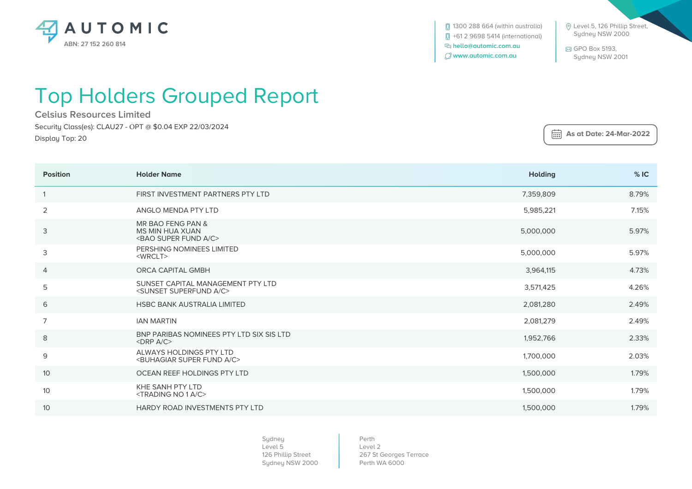

**[**] 1300 288 664 (within australia) +61 2 9698 5414 (international)  **hello@automic.com.au www.automic.com.au**

 Level 5, 126 Phillip Street, Sydney NSW 2000

 GPO Box 5193, Sydney NSW 2001

 **As at Date: 24-Mar-2022**

## Top Holders Grouped Report

**Celsius Resources Limited** Security Class(es): CLAU27 - OPT @ \$0.04 EXP 22/03/2024 Display Top: 20

| <b>Position</b> | <b>Holder Name</b>                                                                    | <b>Holding</b> | %IC   |
|-----------------|---------------------------------------------------------------------------------------|----------------|-------|
|                 | FIRST INVESTMENT PARTNERS PTY LTD                                                     | 7.359.809      | 8.79% |
| 2               | ANGLO MENDA PTY LTD                                                                   | 5,985,221      | 7.15% |
| 3               | MR BAO FENG PAN &<br><b>MS MIN HUA XUAN</b><br><bao a="" c="" fund="" super=""></bao> | 5,000,000      | 5.97% |
| 3               | PERSHING NOMINEES LIMITED<br>$<$ WRCLT $>$                                            | 5,000,000      | 5.97% |
| 4               | <b>ORCA CAPITAL GMBH</b>                                                              | 3,964,115      | 4.73% |
| 5               | SUNSET CAPITAL MANAGEMENT PTY LTD<br><sunset a="" c="" superfund=""></sunset>         | 3,571,425      | 4.26% |
| 6               | HSBC BANK AUSTRALIA LIMITED                                                           | 2,081,280      | 2.49% |
| $\overline{7}$  | <b>IAN MARTIN</b>                                                                     | 2,081,279      | 2.49% |
| 8               | BNP PARIBAS NOMINEES PTY LTD SIX SIS LTD<br>$<$ DRP A/C $>$                           | 1,952,766      | 2.33% |
| $\mathsf 9$     | ALWAYS HOLDINGS PTY LTD<br><buhagiar a="" c="" fund="" super=""></buhagiar>           | 1,700,000      | 2.03% |
| 10              | OCEAN REEF HOLDINGS PTY LTD                                                           | 1,500,000      | 1.79% |
| 10              | KHE SANH PTY LTD<br><trading 1="" a="" c="" no=""></trading>                          | 1,500,000      | 1.79% |
| 10              | HARDY ROAD INVESTMENTS PTY LTD                                                        | 1,500,000      | 1.79% |

Sydney Level 5 126 Phillip Street Sydney NSW 2000

Perth Level 2 267 St Georges Terrace Perth WA 6000